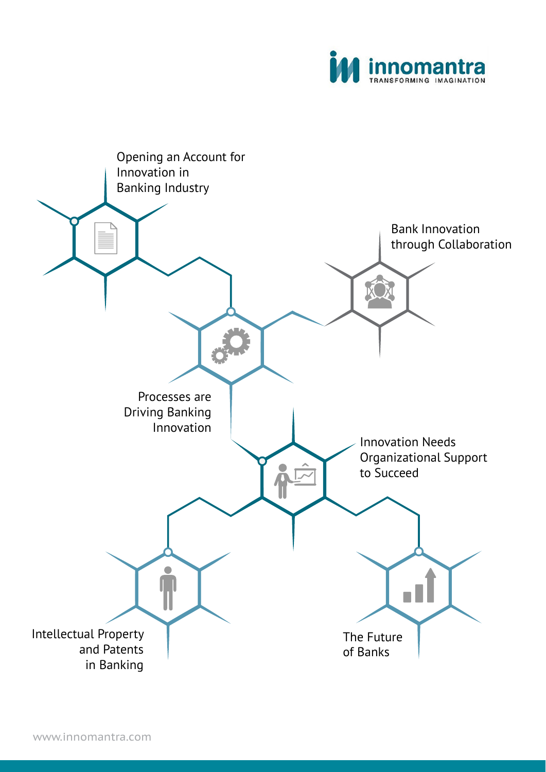

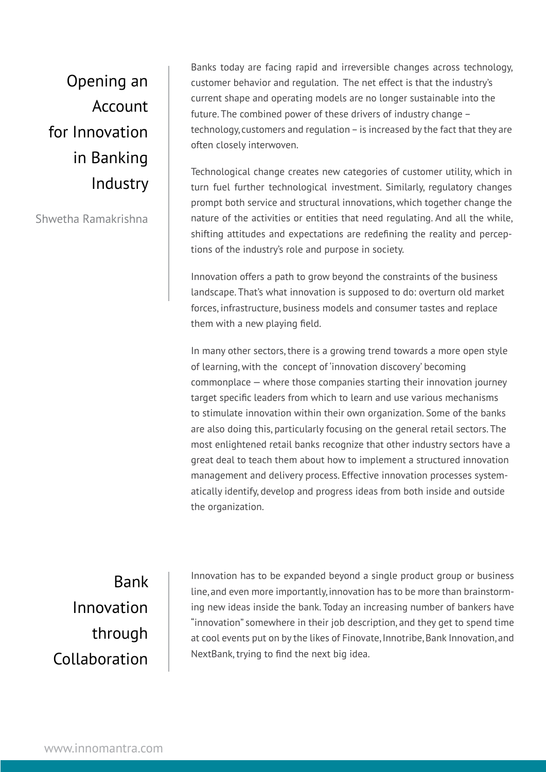Opening an Account for Innovation in Banking Industry

Shwetha Ramakrishna

Banks today are facing rapid and irreversible changes across technology, customer behavior and regulation. The net effect is that the industry's current shape and operating models are no longer sustainable into the future. The combined power of these drivers of industry change – technology, customers and regulation – is increased by the fact that they are often closely interwoven.

Technological change creates new categories of customer utility, which in turn fuel further technological investment. Similarly, regulatory changes prompt both service and structural innovations, which together change the nature of the activities or entities that need regulating. And all the while, shifting attitudes and expectations are redefining the reality and perceptions of the industry's role and purpose in society.

Innovation offers a path to grow beyond the constraints of the business landscape. That's what innovation is supposed to do: overturn old market forces, infrastructure, business models and consumer tastes and replace them with a new playing field.

In many other sectors, there is a growing trend towards a more open style of learning, with the concept of 'innovation discovery' becoming commonplace — where those companies starting their innovation journey target specific leaders from which to learn and use various mechanisms to stimulate innovation within their own organization. Some of the banks are also doing this, particularly focusing on the general retail sectors. The most enlightened retail banks recognize that other industry sectors have a great deal to teach them about how to implement a structured innovation management and delivery process. Effective innovation processes systematically identify, develop and progress ideas from both inside and outside the organization.

Bank Innovation through Collaboration

Innovation has to be expanded beyond a single product group or business line, and even more importantly, innovation has to be more than brainstorming new ideas inside the bank. Today an increasing number of bankers have "innovation" somewhere in their job description, and they get to spend time at cool events put on by the likes of Finovate, Innotribe, Bank Innovation, and NextBank, trying to find the next big idea.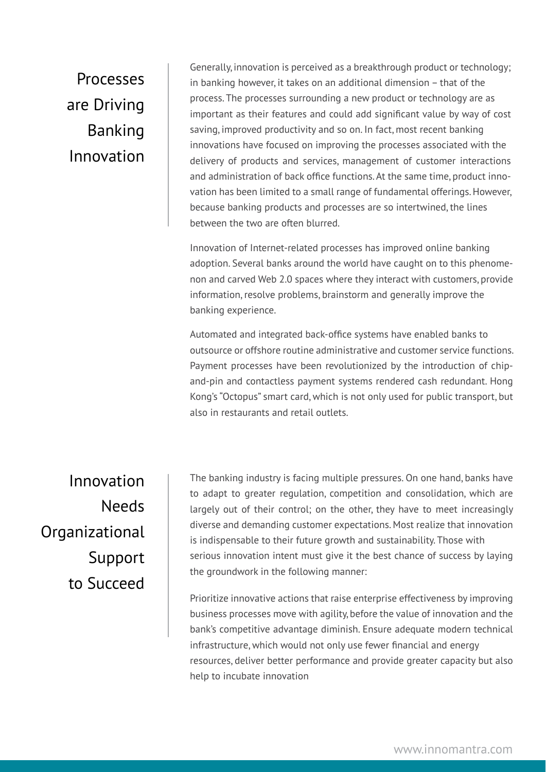## Processes are Driving Banking Innovation

Generally, innovation is perceived as a breakthrough product or technology; in banking however, it takes on an additional dimension – that of the process. The processes surrounding a new product or technology are as important as their features and could add significant value by way of cost saving, improved productivity and so on. In fact, most recent banking innovations have focused on improving the processes associated with the delivery of products and services, management of customer interactions and administration of back office functions. At the same time, product innovation has been limited to a small range of fundamental offerings. However, because banking products and processes are so intertwined, the lines between the two are often blurred.

Innovation of Internet-related processes has improved online banking adoption. Several banks around the world have caught on to this phenomenon and carved Web 2.0 spaces where they interact with customers, provide information, resolve problems, brainstorm and generally improve the banking experience.

Automated and integrated back-office systems have enabled banks to outsource or offshore routine administrative and customer service functions. Payment processes have been revolutionized by the introduction of chipand-pin and contactless payment systems rendered cash redundant. Hong Kong's "Octopus" smart card, which is not only used for public transport, but also in restaurants and retail outlets.

Innovation Needs **Organizational** Support to Succeed

The banking industry is facing multiple pressures. On one hand, banks have to adapt to greater regulation, competition and consolidation, which are largely out of their control; on the other, they have to meet increasingly diverse and demanding customer expectations. Most realize that innovation is indispensable to their future growth and sustainability. Those with serious innovation intent must give it the best chance of success by laying the groundwork in the following manner:

Prioritize innovative actions that raise enterprise effectiveness by improving business processes move with agility, before the value of innovation and the bank's competitive advantage diminish. Ensure adequate modern technical infrastructure, which would not only use fewer financial and energy resources, deliver better performance and provide greater capacity but also help to incubate innovation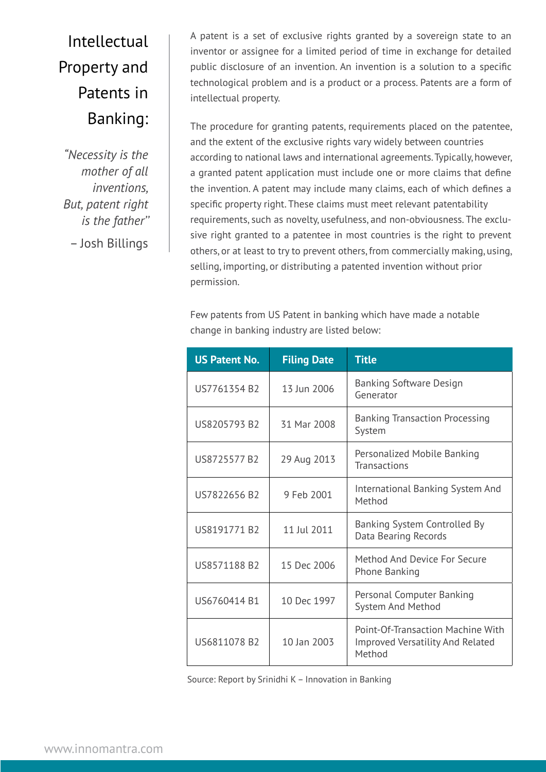## Intellectual Property and Patents in Banking:

*"Necessity is the mother of all inventions, But, patent right is the father''* – Josh Billings

A patent is a set of exclusive rights granted by a sovereign state to an inventor or assignee for a limited period of time in exchange for detailed public disclosure of an invention. An invention is a solution to a specific technological problem and is a product or a process. Patents are a form of intellectual property.

The procedure for granting patents, requirements placed on the patentee, and the extent of the exclusive rights vary widely between countries according to national laws and international agreements. Typically, however, a granted patent application must include one or more claims that define the invention. A patent may include many claims, each of which defines a specific property right. These claims must meet relevant patentability requirements, such as novelty, usefulness, and non-obviousness. The exclusive right granted to a patentee in most countries is the right to prevent others, or at least to try to prevent others, from commercially making, using, selling, importing, or distributing a patented invention without prior permission.

Few patents from US Patent in banking which have made a notable change in banking industry are listed below:

| <b>US Patent No.</b> | <b>Filing Date</b> | <b>Title</b>                                                                           |
|----------------------|--------------------|----------------------------------------------------------------------------------------|
| US7761354 B2         | 13 Jun 2006        | <b>Banking Software Design</b><br>Generator                                            |
| US8205793 B2         | 31 Mar 2008        | <b>Banking Transaction Processing</b><br>System                                        |
| US8725577 B2         | 29 Aug 2013        | Personalized Mobile Banking<br><b>Transactions</b>                                     |
| US7822656 B2         | 9 Feb 2001         | International Banking System And<br>Method                                             |
| US8191771 B2         | 11 Jul 2011        | Banking System Controlled By<br>Data Bearing Records                                   |
| US8571188 B2         | 15 Dec 2006        | Method And Device For Secure<br>Phone Banking                                          |
| US6760414 B1         | 10 Dec 1997        | Personal Computer Banking<br><b>System And Method</b>                                  |
| US6811078 B2         | 10 Jan 2003        | Point-Of-Transaction Machine With<br><b>Improved Versatility And Related</b><br>Method |

Source: Report by Srinidhi K – Innovation in Banking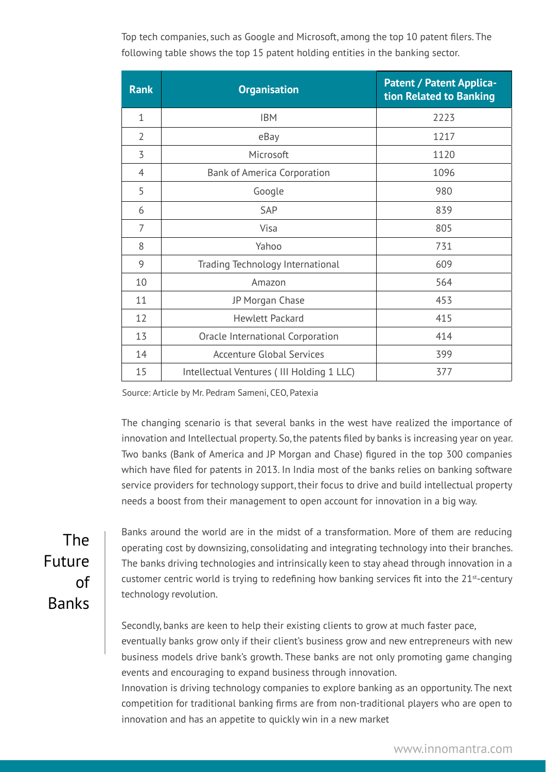Top tech companies, such as Google and Microsoft, among the top 10 patent filers. The following table shows the top 15 patent holding entities in the banking sector.

| <b>Rank</b>    | <b>Organisation</b>                       | <b>Patent / Patent Applica-</b><br>tion Related to Banking |
|----------------|-------------------------------------------|------------------------------------------------------------|
| $\mathbf{1}$   | <b>IBM</b>                                | 2223                                                       |
| $\overline{2}$ | eBay                                      | 1217                                                       |
| 3              | Microsoft                                 | 1120                                                       |
| 4              | <b>Bank of America Corporation</b>        | 1096                                                       |
| 5              | Google                                    | 980                                                        |
| 6              | SAP                                       | 839                                                        |
| 7              | Visa                                      | 805                                                        |
| 8              | Yahoo                                     | 731                                                        |
| 9              | Trading Technology International          | 609                                                        |
| 10             | Amazon                                    | 564                                                        |
| 11             | JP Morgan Chase                           | 453                                                        |
| 12             | <b>Hewlett Packard</b>                    | 415                                                        |
| 13             | Oracle International Corporation          | 414                                                        |
| 14             | <b>Accenture Global Services</b>          | 399                                                        |
| 15             | Intellectual Ventures (III Holding 1 LLC) | 377                                                        |

Source: Article by Mr. Pedram Sameni, CEO, Patexia

The changing scenario is that several banks in the west have realized the importance of innovation and Intellectual property. So, the patents filed by banks is increasing year on year. Two banks (Bank of America and JP Morgan and Chase) figured in the top 300 companies which have filed for patents in 2013. In India most of the banks relies on banking software service providers for technology support, their focus to drive and build intellectual property needs a boost from their management to open account for innovation in a big way.

The Future of Banks

Banks around the world are in the midst of a transformation. More of them are reducing operating cost by downsizing, consolidating and integrating technology into their branches. The banks driving technologies and intrinsically keen to stay ahead through innovation in a customer centric world is trying to redefining how banking services fit into the  $21^{st}$ -century technology revolution.

Secondly, banks are keen to help their existing clients to grow at much faster pace, eventually banks grow only if their client's business grow and new entrepreneurs with new business models drive bank's growth. These banks are not only promoting game changing events and encouraging to expand business through innovation.

Innovation is driving technology companies to explore banking as an opportunity. The next competition for traditional banking firms are from non-traditional players who are open to innovation and has an appetite to quickly win in a new market